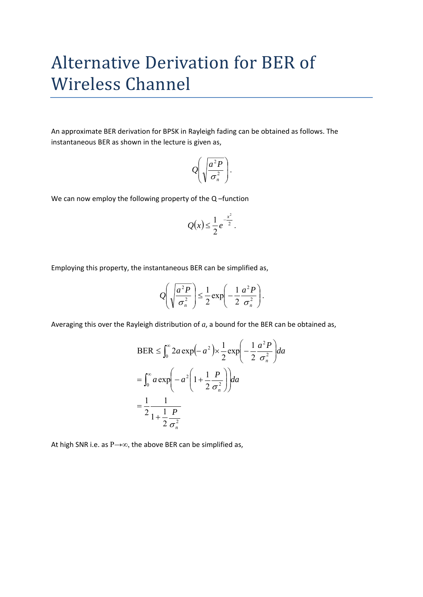## Alternative Derivation for BER of Wireless Channel

An approximate BER derivation for BPSK in Rayleigh fading can be obtained as follows. The instantaneous BER as shown in the lecture is given as,

$$
Q\left(\sqrt{\frac{a^2 P}{\sigma_n^2}}\right).
$$

We can now employ the following property of the Q-function

$$
Q(x) \leq \frac{1}{2}e^{-\frac{x^2}{2}}
$$
.

Employing this property, the instantaneous BER can be simplified as,

$$
Q\left(\sqrt{\frac{a^2 P}{\sigma_n^2}}\right) \leq \frac{1}{2} \exp\left(-\frac{1}{2} \frac{a^2 P}{\sigma_n^2}\right).
$$

Averaging this over the Rayleigh distribution of *a*, a bound for the BER can be obtained as,

$$
BER \leq \int_0^\infty 2a \exp(-a^2) \times \frac{1}{2} \exp\left(-\frac{1}{2} \frac{a^2 P}{\sigma_n^2}\right) da
$$
  
= 
$$
\int_0^\infty a \exp\left(-a^2 \left(1 + \frac{1}{2} \frac{P}{\sigma_n^2}\right)\right) da
$$
  
= 
$$
\frac{1}{2} \frac{1}{1 + \frac{1}{2} \frac{P}{\sigma_n^2}}
$$

At high SNR i.e. as  $P\rightarrow\infty$ , the above BER can be simplified as,